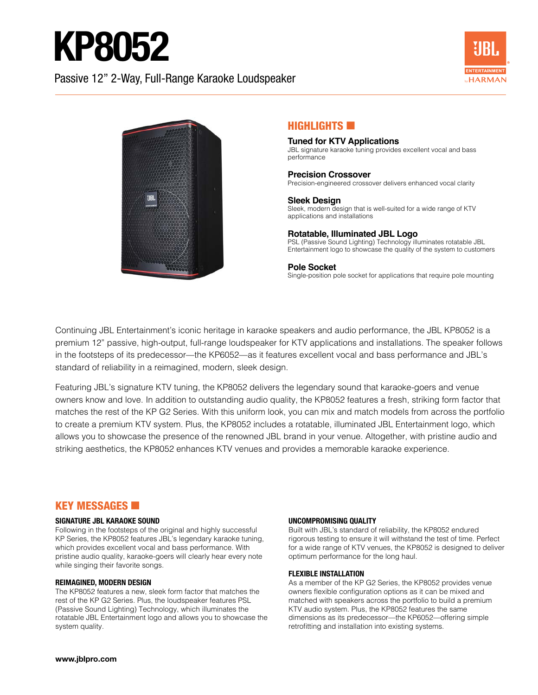# KP8052

# Passive 12" 2-Way, Full-Range Karaoke Loudspeaker





# $H$ IGHLIGHTS  $\blacksquare$

#### **Tuned for KTV Applications** JBL signature karaoke tuning provides excellent vocal and bass performance

### **Precision Crossover**

Precision-engineered crossover delivers enhanced vocal clarity

**Sleek Design** Sleek, modern design that is well-suited for a wide range of KTV applications and installations

### **Rotatable, Illuminated JBL Logo**

PSL (Passive Sound Lighting) Technology illuminates rotatable JBL Entertainment logo to showcase the quality of the system to customers

#### **Pole Socket**

Single-position pole socket for applications that require pole mounting

Continuing JBL Entertainment's iconic heritage in karaoke speakers and audio performance, the JBL KP8052 is a premium 12" passive, high-output, full-range loudspeaker for KTV applications and installations. The speaker follows in the footsteps of its predecessor—the KP6052—as it features excellent vocal and bass performance and JBL's standard of reliability in a reimagined, modern, sleek design.

Featuring JBL's signature KTV tuning, the KP8052 delivers the legendary sound that karaoke-goers and venue owners know and love. In addition to outstanding audio quality, the KP8052 features a fresh, striking form factor that matches the rest of the KP G2 Series. With this uniform look, you can mix and match models from across the portfolio to create a premium KTV system. Plus, the KP8052 includes a rotatable, illuminated JBL Entertainment logo, which allows you to showcase the presence of the renowned JBL brand in your venue. Altogether, with pristine audio and striking aesthetics, the KP8052 enhances KTV venues and provides a memorable karaoke experience.

# **KEY MESSAGES <b>E**

#### **SIGNATURE JBL KARAOKE SOUND**

Following in the footsteps of the original and highly successful KP Series, the KP8052 features JBL's legendary karaoke tuning, which provides excellent vocal and bass performance. With pristine audio quality, karaoke-goers will clearly hear every note while singing their favorite songs.

#### **REIMAGINED, MODERN DESIGN**

The KP8052 features a new, sleek form factor that matches the rest of the KP G2 Series. Plus, the loudspeaker features PSL (Passive Sound Lighting) Technology, which illuminates the rotatable JBL Entertainment logo and allows you to showcase the system quality.

#### **UNCOMPROMISING QUALITY**

Built with JBL's standard of reliability, the KP8052 endured rigorous testing to ensure it will withstand the test of time. Perfect for a wide range of KTV venues, the KP8052 is designed to deliver optimum performance for the long haul.

#### **FLEXIBLE INSTALLATION**

As a member of the KP G2 Series, the KP8052 provides venue owners flexible configuration options as it can be mixed and matched with speakers across the portfolio to build a premium KTV audio system. Plus, the KP8052 features the same dimensions as its predecessor—the KP6052—offering simple retrofitting and installation into existing systems.